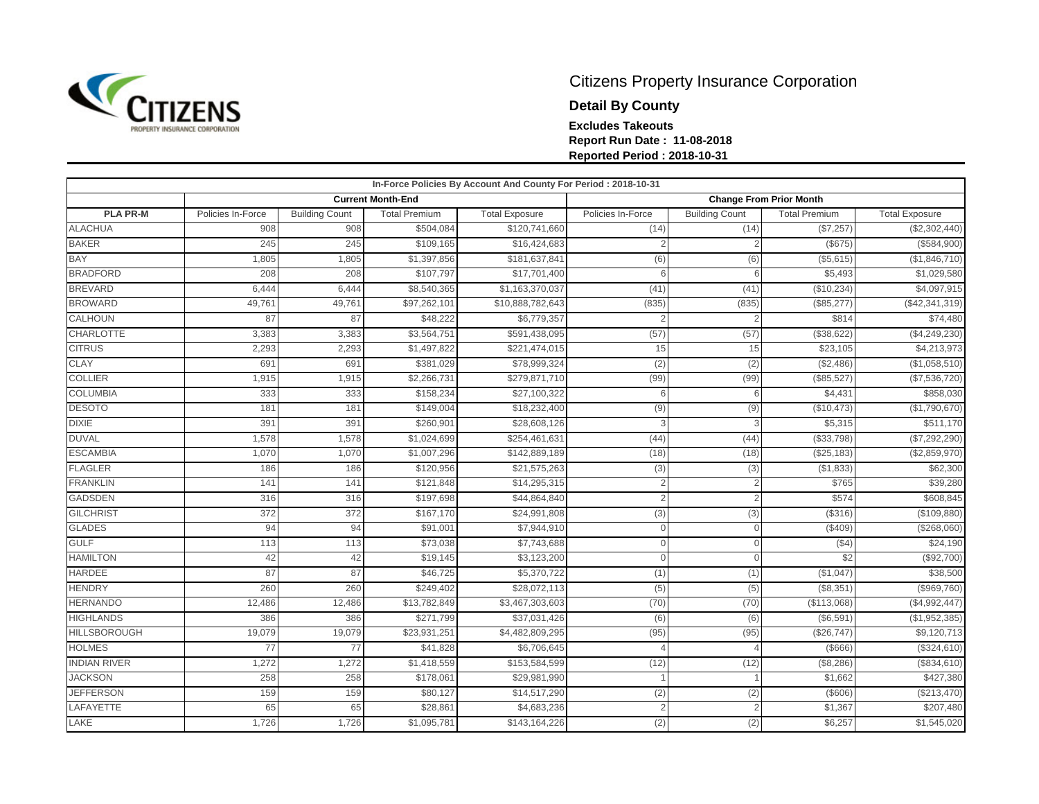

## Citizens Property Insurance Corporation

**Detail By County**

**Excludes Takeouts**

**Report Run Date : 11-08-2018 Reported Period : 2018-10-31**

|                     |                   |                          |                      | In-Force Policies By Account And County For Period : 2018-10-31 |                                |                       |                      |                       |
|---------------------|-------------------|--------------------------|----------------------|-----------------------------------------------------------------|--------------------------------|-----------------------|----------------------|-----------------------|
|                     |                   | <b>Current Month-End</b> |                      |                                                                 | <b>Change From Prior Month</b> |                       |                      |                       |
| <b>PLA PR-M</b>     | Policies In-Force | <b>Building Count</b>    | <b>Total Premium</b> | <b>Total Exposure</b>                                           | Policies In-Force              | <b>Building Count</b> | <b>Total Premium</b> | <b>Total Exposure</b> |
| <b>ALACHUA</b>      | 908               | 908                      | \$504,084            | \$120,741,660                                                   | (14)                           | (14)                  | (\$7,257)            | (\$2,302,440)         |
| <b>BAKER</b>        | 245               | 245                      | \$109,165            | \$16,424,683                                                    | $\overline{2}$                 | 2                     | (S675)               | (\$584,900)           |
| <b>BAY</b>          | 1,805             | 1,805                    | \$1,397,856          | \$181,637,841                                                   | (6)                            | (6)                   | (\$5,615)            | (\$1,846,710)         |
| <b>BRADFORD</b>     | 208               | 208                      | \$107,797            | \$17,701,400                                                    | 6                              | 6                     | \$5,493              | \$1,029,580           |
| <b>BREVARD</b>      | 6,444             | 6,444                    | \$8,540,365          | \$1,163,370,037                                                 | (41)                           | (41)                  | (\$10,234)           | \$4,097,915           |
| <b>BROWARD</b>      | 49,761            | 49,761                   | \$97,262,101         | \$10,888,782,643                                                | (835)                          | (835)                 | (\$85,277)           | (\$42,341,319)        |
| CALHOUN             | 87                | 87                       | \$48,222             | \$6,779,357                                                     |                                |                       | \$814                | \$74,480              |
| <b>CHARLOTTE</b>    | 3,383             | 3,383                    | \$3,564,751          | \$591,438,095                                                   | (57)                           | (57)                  | $($ \$38,622)        | (\$4,249,230)         |
| <b>CITRUS</b>       | 2,293             | 2,293                    | \$1,497,822          | \$221,474,015                                                   | 15                             | 15                    | \$23,105             | \$4,213,973           |
| <b>CLAY</b>         | 691               | 691                      | \$381,029            | \$78,999,324                                                    | (2)                            | (2)                   | (\$2,486)            | (\$1,058,510)         |
| <b>COLLIER</b>      | 1,915             | 1,915                    | \$2,266,731          | \$279,871,710                                                   | (99)                           | (99)                  | (\$85,527)           | (\$7,536,720)         |
| <b>COLUMBIA</b>     | 333               | 333                      | \$158,234            | \$27,100,322                                                    | 6                              | 6                     | \$4,431              | \$858,030             |
| <b>DESOTO</b>       | 181               | 181                      | \$149,004            | \$18,232,400                                                    | (9)                            | (9)                   | (\$10,473)           | (\$1,790,670)         |
| <b>DIXIE</b>        | 391               | 391                      | \$260,901            | \$28,608,126                                                    | 3                              | 3                     | \$5,315              | \$511,170             |
| <b>DUVAL</b>        | 1,578             | 1,578                    | \$1,024,699          | \$254,461,631                                                   | (44)                           | (44)                  | (\$33,798)           | (\$7,292,290)         |
| <b>ESCAMBIA</b>     | 1,070             | 1,070                    | \$1,007,296          | \$142,889,189                                                   | (18)                           | (18)                  | (\$25,183)           | (\$2,859,970)         |
| <b>FLAGLER</b>      | 186               | 186                      | \$120,956            | \$21,575,263                                                    | (3)                            | (3)                   | (\$1,833)            | \$62,300              |
| <b>FRANKLIN</b>     | 141               | 141                      | \$121,848            | \$14,295,315                                                    | $\overline{2}$                 | $\overline{2}$        | \$765                | \$39,280              |
| <b>GADSDEN</b>      | 316               | 316                      | \$197,698            | \$44,864,840                                                    | $\overline{2}$                 | 2                     | \$574                | \$608,845             |
| <b>GILCHRIST</b>    | 372               | 372                      | \$167,170            | \$24,991,808                                                    | (3)                            | (3)                   | ( \$316)             | (\$109,880)           |
| <b>GLADES</b>       | 94                | 94                       | \$91,001             | \$7,944,910                                                     | $\overline{0}$                 | $\mathbf{0}$          | (\$409)              | (\$268,060)           |
| <b>GULF</b>         | 113               | 113                      | \$73,038             | \$7,743,688                                                     | $\Omega$                       | $\Omega$              | $($ \$4)             | \$24,190              |
| <b>HAMILTON</b>     | 42                | 42                       | \$19,145             | \$3,123,200                                                     | $\Omega$                       | $\Omega$              | \$2                  | (\$92,700)            |
| <b>HARDEE</b>       | 87                | 87                       | \$46,725             | \$5,370,722                                                     | (1)                            | (1)                   | (\$1,047)            | \$38,500              |
| <b>HENDRY</b>       | 260               | 260                      | \$249,402            | \$28,072,113                                                    | (5)                            | (5)                   | (\$8,351)            | (\$969,760)           |
| <b>HERNANDO</b>     | 12,486            | 12,486                   | \$13,782,849         | \$3,467,303,603                                                 | (70)                           | (70)                  | (\$113,068)          | (\$4,992,447)         |
| <b>HIGHLANDS</b>    | 386               | 386                      | \$271,799            | \$37,031,426                                                    | (6)                            | (6)                   | (S6, 591)            | (\$1,952,385)         |
| <b>HILLSBOROUGH</b> | 19,079            | 19,079                   | \$23,931,251         | \$4,482,809,295                                                 | (95)                           | (95)                  | (\$26,747)           | \$9,120,713           |
| <b>HOLMES</b>       | 77                | 77                       | \$41,828             | \$6,706,645                                                     |                                |                       | ( \$666)             | (\$324,610)           |
| <b>INDIAN RIVER</b> | 1,272             | 1,272                    | \$1,418,559          | \$153,584,599                                                   | (12)                           | (12)                  | ( \$8,286)           | (\$834,610)           |
| <b>JACKSON</b>      | 258               | 258                      | \$178,061            | \$29,981,990                                                    |                                |                       | \$1,662              | \$427,380             |
| <b>JEFFERSON</b>    | 159               | 159                      | \$80,127             | \$14,517,290                                                    | (2)                            | (2)                   | $($ \$606)           | (\$213,470)           |
| <b>LAFAYETTE</b>    | 65                | 65                       | \$28,861             | \$4,683,236                                                     | $\mathcal{P}$                  | $\overline{2}$        | \$1,367              | \$207,480             |
| LAKE                | 1,726             | 1,726                    | \$1,095,781          | \$143,164,226                                                   | (2)                            | (2)                   | \$6,257              | \$1,545,020           |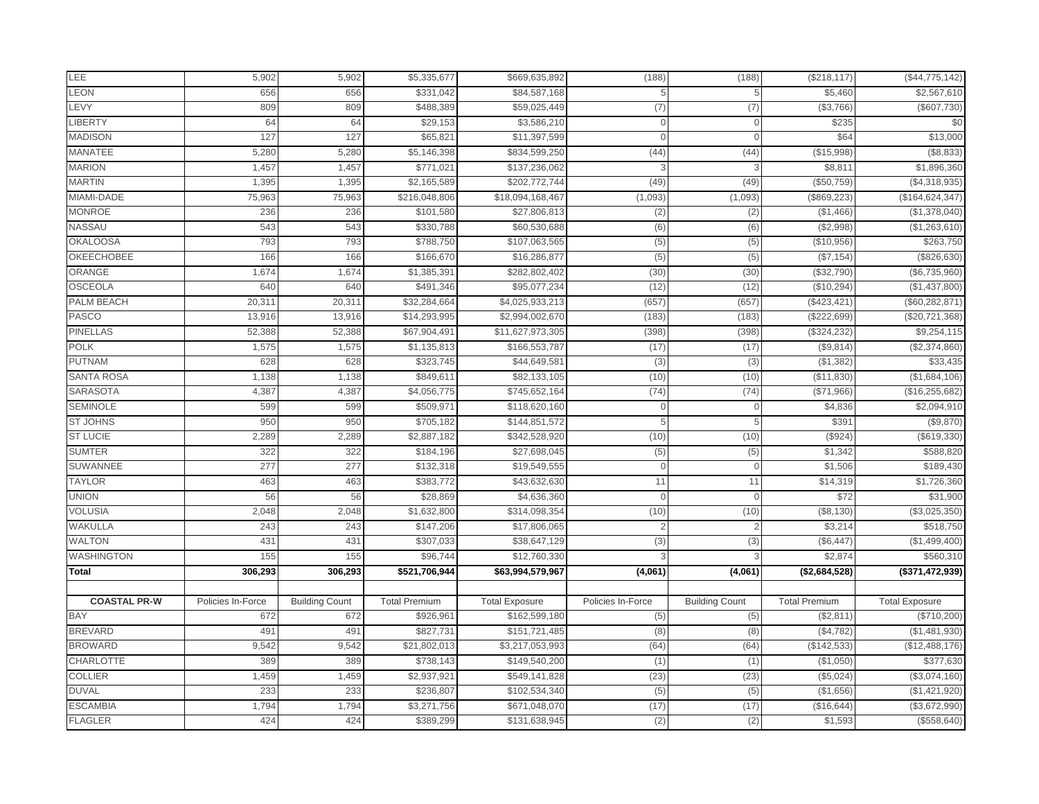| LEE                               | 5,902             | 5,902                 | \$5,335,677              | \$669,635,892         | (188)             | (188)                 | (\$218, 117)         | (\$44,775,142)                 |
|-----------------------------------|-------------------|-----------------------|--------------------------|-----------------------|-------------------|-----------------------|----------------------|--------------------------------|
| <b>LEON</b>                       | 656               | 656                   | \$331,042                | \$84,587,168          |                   | 5                     | \$5,460              | \$2,567,610                    |
| LEVY                              | 809               | 809                   | \$488,389                | \$59,025,449          | (7)               | (7)                   | (\$3,766)            | (\$607,730)                    |
| <b>LIBERTY</b>                    | 64                | 64                    | \$29,153                 | \$3,586,210           | $\cap$            |                       | \$235                | \$0                            |
| <b>MADISON</b>                    | 127               | 127                   | \$65,82'                 | \$11,397,599          | $\Omega$          | $\Omega$              | \$64                 | \$13,000                       |
| <b>MANATEE</b>                    | 5,280             | 5,280                 | \$5,146,398              | \$834,599,250         | (44)              | (44)                  | (\$15,998)           | (\$8,833)                      |
| <b>MARION</b>                     | 1,457             | 1,457                 | \$771,021                | \$137,236,062         |                   |                       | \$8,81               | \$1,896,360                    |
| <b>MARTIN</b>                     | 1,395             | 1,395                 | \$2,165,589              | \$202,772,744         | (49)              | (49)                  | (\$50,759)           | (\$4,318,935)                  |
| MIAMI-DADE                        | 75,963            | 75,963                | \$216,048,806            | \$18,094,168,467      | (1,093)           | (1,093)               | (\$869,223)          | (\$164, 624, 347)              |
| <b>MONROE</b>                     | 236               | 236                   | \$101,580                | \$27,806,813          | (2)               | (2)                   | (\$1,466)            | (\$1,378,040)                  |
| NASSAU                            | 543               | 543                   | \$330,788                | \$60,530,688          | (6)               | (6)                   | (\$2,998)            | (\$1,263,610)                  |
| <b>OKALOOSA</b>                   | 793               | 793                   | \$788,750                | \$107,063,565         | (5)               | (5)                   | (\$10,956)           | \$263,750                      |
| <b>OKEECHOBEE</b>                 | 166               | 166                   | \$166,670                | \$16,286,877          | (5)               | (5)                   | (\$7,154)            | (\$826,630)                    |
| <b>ORANGE</b>                     | 1,674             | 1,674                 | \$1,385,391              | \$282,802,402         | (30)              | (30)                  | (\$32,790            | (\$6,735,960)                  |
| <b>OSCEOLA</b>                    | 640               | 640                   | \$491,346                | \$95,077,234          | (12)              | (12)                  | (\$10,294)           | (\$1,437,800)                  |
| PALM BEACH                        | 20,31'            | 20,311                | \$32,284,664             | \$4,025,933,213       | (657)             | (657)                 | (\$423, 421          | (\$60, 282, 871)               |
| <b>PASCO</b>                      | 13,916            | 13,916                | \$14,293,995             | \$2,994,002,670       | (183)             | (183)                 | (\$222,699)          | (\$20, 721, 368)               |
| <b>PINELLAS</b>                   | 52,388            | 52,388                | \$67,904,49              | \$11,627,973,305      | (398)             | (398)                 | (\$324, 232)         | \$9,254,115                    |
| <b>POLK</b>                       | 1,575             | 1,575                 | \$1,135,813              | \$166,553,787         | (17)              | (17)                  | (\$9,814)            | (\$2,374,860)                  |
| <b>PUTNAM</b>                     | 628               | 628                   | \$323,745                | \$44,649,581          | (3)               | (3)                   | (\$1,382)            | \$33,435                       |
| <b>SANTA ROSA</b>                 | 1,138             | 1,138                 | \$849,611                | \$82,133,105          | (10)              | (10)                  | (\$11,830            | (\$1,684,106)                  |
| <b>SARASOTA</b>                   | 4,387             | 4,387                 | \$4,056,775              | \$745,652,164         | (74)              | (74)                  | (\$71,966)           | (\$16, 255, 682)               |
| <b>SEMINOLE</b>                   | 599               | 599                   | \$509,971                | \$118,620,160         | $\Omega$          | $\overline{0}$        | \$4,836              | \$2,094,910                    |
| <b>ST JOHNS</b>                   | 950               | 950                   | \$705,182                | \$144,851,572         |                   | 5                     | \$39'                | (\$9,870)                      |
| <b>ST LUCIE</b>                   | 2,289             | 2,289                 | \$2,887,182              | \$342,528,920         | (10)              | (10)                  | (\$924)              | (\$619,330)                    |
| <b>SUMTER</b>                     | 322               | 322                   | \$184,196                | \$27,698,045          | (5)               | (5)                   | \$1,342              | \$588,820                      |
| <b>SUWANNEE</b>                   | 277               | 277                   | \$132,318                | \$19,549,555          | $\Omega$          | $\Omega$              | \$1,506              | \$189,430                      |
| <b>TAYLOR</b>                     | 463               | 463                   | \$383,772                | \$43,632,630          | 11                | 11                    | \$14,319             | \$1,726,360                    |
| <b>UNION</b>                      | 56                | 56                    | \$28,869                 | \$4,636,360           | $\Omega$          | $\mathbf 0$           | \$72                 | \$31,900                       |
| <b>VOLUSIA</b>                    | 2,048             | 2,048                 | \$1,632,800              | \$314,098,354         | (10)              | (10)                  | (\$8,130)            | (\$3,025,350)                  |
| <b>WAKULLA</b>                    | 243               | 243                   | \$147,206                | \$17,806,065          |                   | 2                     | \$3,214              | \$518,750                      |
| <b>WALTON</b>                     | 431               | 431                   | \$307,033                | \$38,647,129          | (3)               | (3)                   | (\$6,447)            | (\$1,499,400)                  |
| WASHINGTON                        | 155               | 155                   | \$96,744                 | \$12,760,330          |                   |                       | \$2,874              | \$560,310                      |
| <b>Total</b>                      | 306,293           | 306,293               | \$521,706,944            | \$63,994,579,967      | (4,061)           | (4,061)               | (\$2,684,528)        | (\$371,472,939)                |
|                                   |                   |                       |                          |                       |                   |                       |                      |                                |
|                                   |                   |                       |                          |                       |                   |                       |                      |                                |
| <b>COASTAL PR-W</b>               | Policies In-Force | <b>Building Count</b> | <b>Total Premium</b>     | <b>Total Exposure</b> | Policies In-Force | <b>Building Count</b> | <b>Total Premium</b> | <b>Total Exposure</b>          |
| <b>BAY</b>                        | 672               | 672                   | \$926,961                | \$162,599,180         | (5)               | (5)                   | (\$2,811)            | (\$710,200)                    |
| <b>BREVARD</b>                    | 491               | 491                   | \$827,731                | \$151,721,485         | (8)               | (8)                   | (\$4,782)            |                                |
| <b>BROWARD</b>                    | 9,542             | 9,542                 | \$21,802,013             | \$3,217,053,993       | (64)              | (64)                  | (\$142,533)          | (\$12,488,176)                 |
| CHARLOTTE                         | 389               | 389                   | \$738,143                | \$149,540,200         | (1)               | (1)                   | (\$1,050)            | \$377,630                      |
| <b>COLLIER</b>                    | 1,459             | 1,459                 | \$2,937,921              | \$549,141,828         | (23)              | (23)                  | (\$5,024)            | (\$3,074,160)                  |
| <b>DUVAL</b>                      | 233               | 233                   | \$236,807                | \$102,534,340         | (5)               | (5)                   | (\$1,656)            | (\$1,481,930)<br>(\$1,421,920) |
| <b>ESCAMBIA</b><br><b>FLAGLER</b> | 1,794             | 1,794                 | \$3,271,756<br>\$389,299 | \$671,048,070         | (17)              | (17)                  | (\$16,644)           | (\$3,672,990)                  |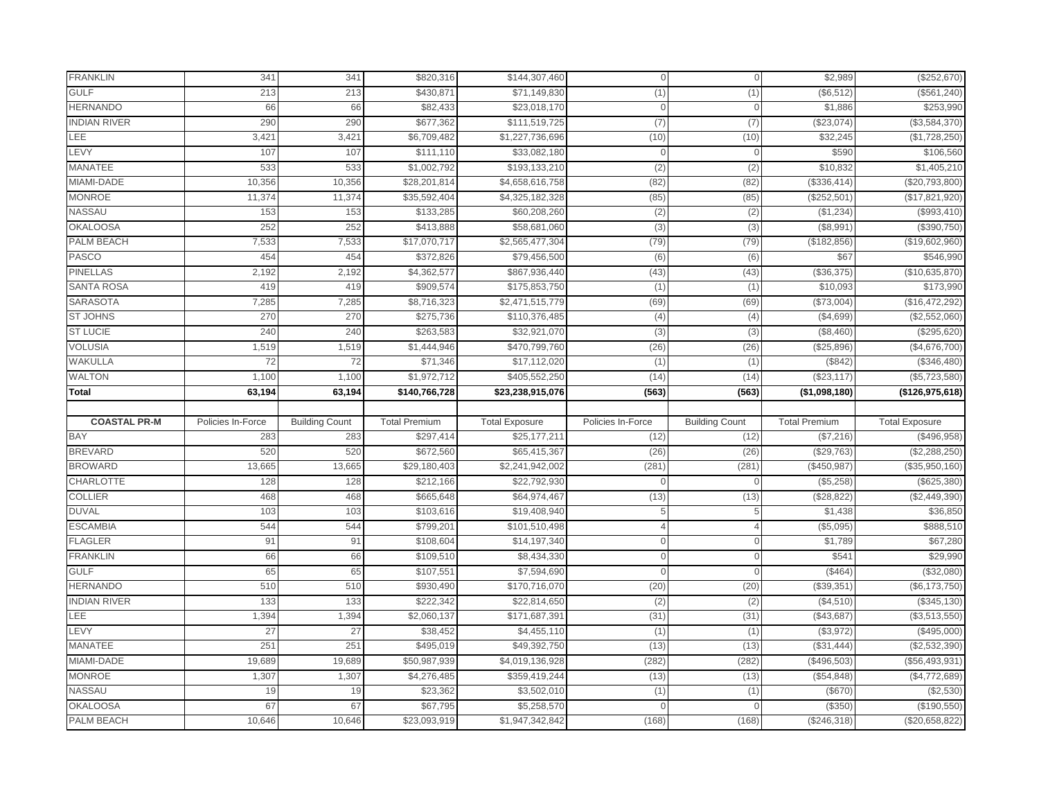| <b>FRANKLIN</b>                      | 34'               | 341                   | \$820,316            | \$144,307,460            | $\Omega$          | $\Omega$              | \$2,989              | (\$252,670)           |
|--------------------------------------|-------------------|-----------------------|----------------------|--------------------------|-------------------|-----------------------|----------------------|-----------------------|
| <b>GULF</b>                          | 213               | 213                   | \$430.87             | $\overline{$}71,149,830$ | (1)               | (1)                   | (\$6, 512            | (\$561, 240)          |
| <b>HERNANDO</b>                      | 66                | 66                    | \$82,433             | \$23,018,170             | $\Omega$          | $\mathbf{0}$          | \$1,886              | \$253,990             |
| <b>INDIAN RIVER</b>                  | 290               | 290                   | \$677,362            | \$111,519,725            | (7)               | (7)                   | (\$23,074)           | (\$3,584,370)         |
| <b>LEE</b>                           | 3,421             | 3,421                 | \$6,709,482          | \$1,227,736,696          | (10)              | (10)                  | \$32,245             | (\$1,728,250)         |
| LEVY                                 | 107               | 107                   | \$111,110            | \$33,082,180             | $\Omega$          | $\Omega$              | \$590                | \$106,560             |
| <b>MANATEE</b>                       | 533               | 533                   | \$1,002,792          | \$193,133,210            | (2)               | (2)                   | \$10,832             | \$1,405,210           |
| MIAMI-DADE                           | 10,356            | 10,356                | \$28,201,814         | \$4,658,616,758          | (82)              | (82)                  | (\$336,414           | $(\$20,793,800)$      |
| <b>MONROE</b>                        | 11,374            | 11,374                | \$35,592,404         | \$4,325,182,328          | (85)              | (85)                  | (\$252,501           | (\$17,821,920         |
| <b>NASSAU</b>                        | 153               | 153                   | \$133,285            | \$60,208,260             | (2)               | (2)                   | (\$1,234)            | (\$993,410)           |
| <b>OKALOOSA</b>                      | 252               | 252                   | $\sqrt{$413,888}$    | \$58,681,060             | (3)               | (3)                   | (\$8,991             | (\$390,750)           |
| <b>PALM BEACH</b>                    | 7,533             | 7,533                 | \$17,070,717         | \$2,565,477,304          | (79)              | (79)                  | (\$182, 856          | (\$19,602,960)        |
| <b>PASCO</b>                         | 454               | 454                   | \$372,826            | \$79,456,500             | (6)               | (6)                   | \$67                 | \$546,990             |
| <b>PINELLAS</b>                      | 2,192             | 2,192                 | \$4,362,577          | \$867,936,440            | (43)              | (43)                  | (\$36,375)           | (\$10,635,870)        |
| <b>SANTA ROSA</b>                    | 419               | 419                   | \$909,574            | \$175,853,750            | (1)               | (1)                   | \$10,093             | \$173,990             |
| <b>SARASOTA</b>                      | 7,285             | 7,285                 | \$8,716,323          | \$2,471,515,779          | (69)              | (69)                  | (\$73,004            | (\$16,472,292         |
| <b>ST JOHNS</b>                      | 270               | 270                   | \$275,736            | \$110,376,485            | (4)               | (4)                   | (\$4,699)            | (\$2,552,060)         |
| <b>ST LUCIE</b>                      | 240               | 240                   | \$263,583            | \$32,921,070             | (3)               | (3)                   | (\$8,460             | (\$295,620)           |
| <b>VOLUSIA</b>                       | 1,519             | 1,519                 | \$1,444,946          | \$470,799,760            | (26)              | (26)                  | (\$25,896)           | (\$4,676,700)         |
| WAKULLA                              | 72                | 72                    | \$71,346             | \$17,112,020             | (1)               | (1)                   | (\$842)              | (\$346,480)           |
| <b>WALTON</b>                        | 1,100             | 1,100                 | \$1,972,712          | \$405,552,250            | (14)              | (14)                  | (\$23,117            | (\$5,723,580)         |
| <b>Total</b>                         | 63,194            | 63,194                | \$140,766,728        | \$23,238,915,076         | (563)             | (563)                 | (\$1,098,180)        | (\$126,975,618)       |
|                                      |                   |                       |                      |                          |                   |                       |                      |                       |
|                                      |                   |                       |                      |                          |                   |                       |                      |                       |
| <b>COASTAL PR-M</b>                  | Policies In-Force | <b>Building Count</b> | <b>Total Premium</b> | <b>Total Exposure</b>    | Policies In-Force | <b>Building Count</b> | <b>Total Premium</b> | <b>Total Exposure</b> |
| <b>BAY</b>                           | 283               | 283                   | \$297,414            | \$25,177,211             | (12)              | (12)                  | (\$7,216)            | (\$496,958)           |
| <b>BREVARD</b>                       | 520               | 520                   | \$672,560            | \$65,415,367             | (26)              | (26)                  | (\$29,763)           | (\$2,288,250)         |
| <b>BROWARD</b>                       | 13,665            | 13,665                | \$29,180,403         | \$2,241,942,002          | (281)             | (281)                 | (\$450,987           | (\$35,950,160)        |
| <b>CHARLOTTE</b>                     | 128               | 128                   | \$212,166            | \$22,792,930             |                   | $\mathbf{0}$          | (\$5,258)            | (\$625,380)           |
| <b>COLLIER</b>                       | 468               | 468                   | \$665,648            | \$64,974,467             | (13)              | (13)                  | (\$28,822            | (\$2,449,390)         |
| <b>DUVAL</b>                         | 103               | 103                   | \$103,616            | \$19,408,940             | 5                 | 5                     | \$1,438              | \$36,850              |
| <b>ESCAMBIA</b>                      | 544               | 544                   | \$799,20             | \$101,510,498            | $\Delta$          | $\Delta$              | (\$5,095)            | \$888,510             |
| <b>FLAGLER</b>                       | 91                | 91                    | \$108,604            | \$14,197,340             | $\Omega$          |                       | \$1,789              | \$67,280              |
| <b>FRANKLIN</b>                      | 66                | 66                    | \$109,510            | \$8,434,330              | $\overline{0}$    | $\overline{0}$        | \$541                | \$29,990              |
| <b>GULF</b>                          | 65                | 65                    | \$107,55             | \$7,594,690              | $\Omega$          | $\Omega$              | \$464                | (\$32,080             |
| <b>HERNANDO</b>                      | 510               | 510                   | \$930,490            | \$170,716,070            | (20)              | (20)                  | (\$39,351            | (\$6,173,750)         |
| <b>INDIAN RIVER</b>                  | 133               | 133                   | \$222,342            | \$22,814,650             | (2)               | (2)                   | (\$4,510)            | (\$345,130)           |
| LEE                                  | 1,394             | 1,394                 | \$2,060,137          | \$171,687,391            | (31)              | (31)                  | (\$43,687            | (\$3,513,550)         |
| LEVY                                 | 27                | $\overline{27}$       | \$38,452             | $\overline{4,}455,110$   | (1)               | (1)                   | (\$3,972)            | (\$495,000)           |
| <b>MANATEE</b>                       | 251               | 251                   | \$495,019            | \$49,392,750             | (13)              | (13)                  | (\$31,444]           | (\$2,532,390          |
| MIAMI-DADE                           | 19,689            | 19,689                | \$50,987,939         | \$4,019,136,928          | (282)             | (282)                 | (\$496,503)          | (\$56,493,931)        |
| <b>MONROE</b>                        | 1,307             | 1,307                 | \$4,276,485          | \$359,419,244            | (13)              | (13)                  | (\$54,848)           | (\$4,772,689)         |
| <b>NASSAU</b>                        | 19                | 19                    | \$23,362             | \$3,502,010              | (1)               | (1)                   | (\$670)              | (\$2,530)             |
| <b>OKALOOSA</b><br><b>PALM BEACH</b> | 67                | 67                    | \$67,795             | \$5,258,570              |                   | $\mathbf{0}$          | (\$350)              | (\$190,550)           |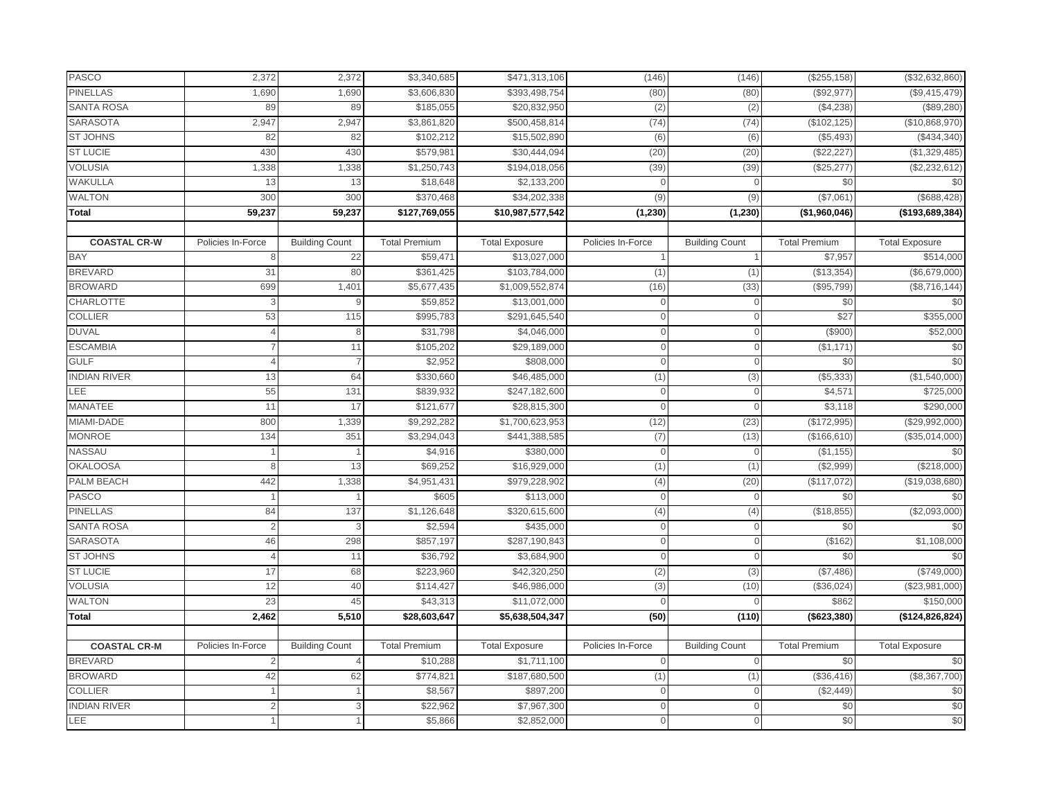| <b>PASCO</b>        | 2,372             | 2,372                 | \$3,340,685          | \$471,313,106         | (146)             | (146)                 | $(\$255, 158)$       | (\$32,632,860)        |
|---------------------|-------------------|-----------------------|----------------------|-----------------------|-------------------|-----------------------|----------------------|-----------------------|
| <b>PINELLAS</b>     | 1,690             | 1,690                 | \$3,606,830          | \$393,498,754         | (80)              | (80)                  | (\$92,977            | (\$9,415,479)         |
| <b>SANTA ROSA</b>   | 89                | 89                    | \$185,055            | \$20,832,950          | (2)               | (2)                   | (\$4,238)            | (\$89,280)            |
| <b>SARASOTA</b>     | 2,947             | 2,947                 | \$3,861,820          | \$500,458,814         | (74)              | (74)                  | (\$102, 125)         | (\$10,868,970)        |
| <b>ST JOHNS</b>     | 82                | 82                    | \$102,212            | \$15,502,890          | (6)               | (6)                   | (\$5,493)            | (\$434,340)           |
| <b>ST LUCIE</b>     | 430               | 430                   | \$579,98             | \$30,444,094          | (20)              | (20)                  | (\$22, 227           | (\$1,329,485)         |
| <b>VOLUSIA</b>      | 1,338             | 1,338                 | \$1,250,743          | \$194,018,056         | (39)              | (39)                  | (\$25,277)           | (\$2,232,612)         |
| <b>WAKULLA</b>      | 13                | 13                    | \$18,648             | \$2,133,200           | $\cap$            | $\mathbf{0}$          | \$0                  | \$0                   |
| <b>WALTON</b>       | 300               | 300                   | \$370,468            | \$34,202,338          | (9)               | (9)                   | (\$7,061)            | (\$688,428)           |
| <b>Total</b>        | 59,237            | 59,237                | \$127,769,055        | \$10,987,577,542      | (1, 230)          | (1, 230)              | (\$1,960,046)        | (\$193,689,384)       |
|                     |                   |                       |                      |                       |                   |                       |                      |                       |
| <b>COASTAL CR-W</b> | Policies In-Force | <b>Building Count</b> | <b>Total Premium</b> | <b>Total Exposure</b> | Policies In-Force | <b>Building Count</b> | <b>Total Premium</b> | <b>Total Exposure</b> |
| <b>BAY</b>          | 8                 | 22                    | \$59,471             | \$13,027,000          |                   |                       | \$7,957              | \$514,000             |
| <b>BREVARD</b>      | 31                | 80                    | \$361,425            | \$103,784,000         | (1)               | (1)                   | (\$13,354)           | ( \$6,679,000)        |
| <b>BROWARD</b>      | 699               | 1,401                 | \$5,677,435          | \$1,009,552,874       | (16)              | (33)                  | (\$95,799)           | (\$8,716,144)         |
| CHARLOTTE           | 3                 | 9                     | \$59,852             | \$13,001,000          | $\overline{0}$    | $\mathbf{0}$          | \$0                  | \$0                   |
| <b>COLLIER</b>      | 53                | 115                   | \$995,783            | \$291,645,540         | $\Omega$          | $\mathbf{O}$          | \$27                 | \$355,000             |
| <b>DUVAL</b>        |                   | 8                     | \$31,798             | \$4,046,000           | $\cap$            | 0                     | \$900                | \$52,000              |
| <b>ESCAMBIA</b>     |                   | 11                    | \$105,202            | \$29,189,000          | $\Omega$          | $\Omega$              | (\$1,171             | \$0                   |
| <b>GULF</b>         | $\Delta$          | $\overline{7}$        | \$2,952              | \$808,000             | $\mathbf 0$       | $\mathbf 0$           | \$0                  | \$0                   |
| <b>INDIAN RIVER</b> | 13                | 64                    | \$330,660            | \$46,485,000          | (1)               | (3)                   | (\$5,333]            | (\$1,540,000)         |
| LEE                 | 55                | 131                   | \$839,932            | \$247,182,600         | $\overline{0}$    |                       | \$4,571              | \$725,000             |
| <b>MANATEE</b>      | 11                | 17                    | \$121,677            | \$28,815,300          | $\overline{0}$    | $\mathbf{0}$          | \$3,118              | \$290,000             |
| MIAMI-DADE          | 800               | 1,339                 | \$9,292,282          | \$1,700,623,953       | (12)              | (23)                  | (\$172,995           | (\$29,992,000)        |
| <b>MONROE</b>       | 134               | 351                   | \$3,294,043          | \$441,388,585         | (7)               | (13)                  | (\$166, 610)         | (\$35,014,000)        |
| <b>NASSAU</b>       |                   | $\overline{1}$        | \$4,916              | \$380,000             | $\overline{0}$    | $\mathbf 0$           | (\$1,155)            | \$0                   |
| <b>OKALOOSA</b>     |                   | 13                    | \$69,252             | \$16,929,000          | (1)               | (1)                   | (\$2,999)            | (\$218,000)           |
| <b>PALM BEACH</b>   | 442               | 1,338                 | \$4,951,431          | \$979,228,902         | (4)               | (20)                  | (\$117,072)          | (\$19,038,680)        |
| <b>PASCO</b>        |                   |                       | \$605                | \$113,000             | $\overline{0}$    | $\mathbf{0}$          | \$0                  | \$0                   |
| <b>PINELLAS</b>     | 84                | 137                   | \$1,126,648          | \$320,615,600         | (4)               | (4)                   | (\$18,855)           | (\$2,093,000)         |
| <b>SANTA ROSA</b>   | $\overline{2}$    | 3                     | \$2,594              | \$435,000             | $\overline{0}$    | $\mathbf{0}$          | \$0                  | \$0                   |
| <b>SARASOTA</b>     | 46                | 298                   | \$857,197            | \$287,190,843         | $\overline{0}$    | $\Omega$              | (\$162)              | \$1,108,000           |
| <b>ST JOHNS</b>     | $\overline{4}$    | 11                    | \$36,792             | \$3,684,900           | $\overline{0}$    | $\mathbf{0}$          | \$0                  | \$0                   |
| <b>ST LUCIE</b>     | 17                | 68                    | \$223,960            | \$42,320,250          | (2)               | (3)                   | (\$7,486)            | (\$749,000)           |
| <b>VOLUSIA</b>      | 12                | 40                    | \$114,427            | \$46,986,000          | (3)               | (10)                  | (\$36,024)           | (\$23,981,000)        |
| <b>WALTON</b>       | 23                | 45                    | \$43,313             | \$11,072,000          | $\cap$            | $\mathbf{0}$          | \$862                | \$150,000             |
| <b>Total</b>        | 2,462             | 5,510                 | \$28,603,647         | \$5,638,504,347       | (50)              | (110)                 | (\$623,380)          | (\$124, 826, 824)     |
|                     |                   |                       |                      |                       |                   |                       |                      |                       |
| <b>COASTAL CR-M</b> | Policies In-Force | <b>Building Count</b> | <b>Total Premium</b> | <b>Total Exposure</b> | Policies In-Force | <b>Building Count</b> | <b>Total Premium</b> | <b>Total Exposure</b> |
| <b>BREVARD</b>      |                   | $\overline{4}$        | \$10,288             | \$1,711,100           | $\mathbf 0$       | $\mathbf 0$           | \$0                  | \$0                   |
| <b>BROWARD</b>      | 42                | 62                    | \$774,82             | \$187,680,500         | (1)               | (1)                   | (\$36,416)           | (\$8,367,700)         |
| <b>COLLIER</b>      |                   |                       | \$8,567              | \$897,200             | $\Omega$          | $\Omega$              | (\$2,449)            | \$0                   |
| <b>INDIAN RIVER</b> |                   | 3                     | \$22,962             | \$7,967,300           | $\overline{0}$    | $\overline{0}$        | \$0                  | \$0                   |
| LEE                 |                   |                       | \$5,866              | \$2,852,000           | $\Omega$          | $\mathbf{0}$          | \$0                  | \$0                   |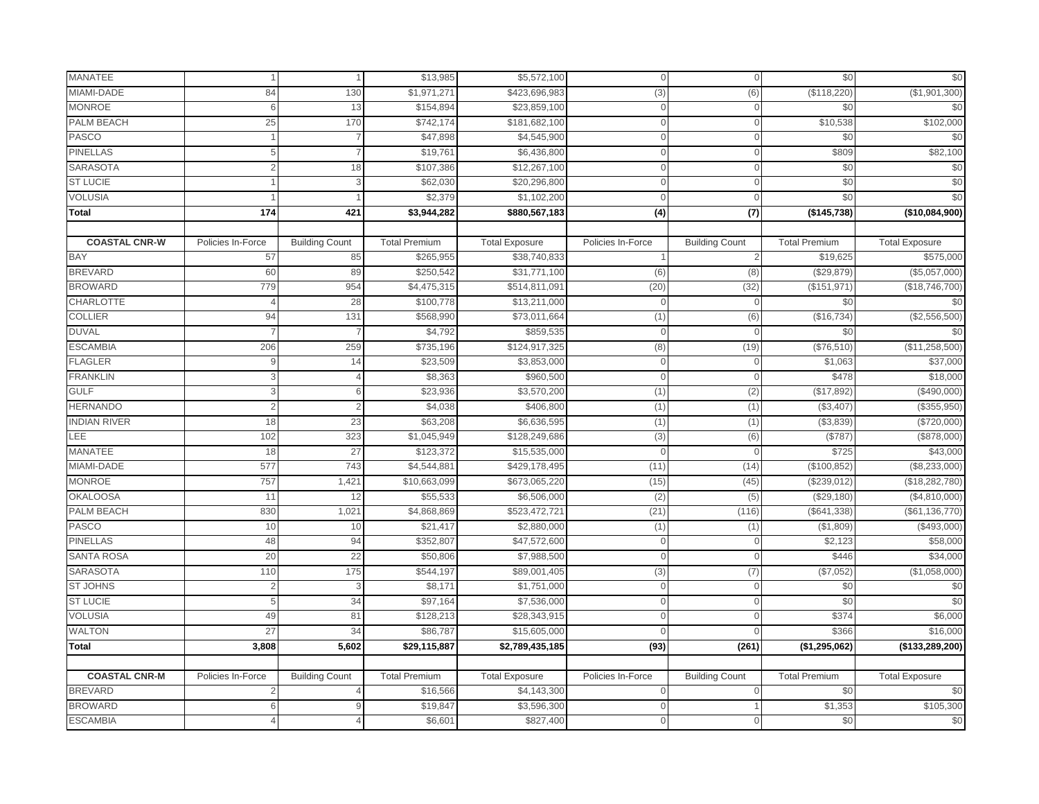| MANATEE              |                   |                       | \$13,985              | \$5,572,100             | $\Omega$          | $\Omega$              | \$0                  | \$0                   |
|----------------------|-------------------|-----------------------|-----------------------|-------------------------|-------------------|-----------------------|----------------------|-----------------------|
| MIAMI-DADE           | 84                | 130                   | \$1,971,271           | \$423,696,983           | (3)               | (6)                   | (\$118,220           | (\$1,901,300)         |
| <b>MONROE</b>        | 6                 | 13                    | \$154,894             | \$23,859,100            | $\overline{0}$    | $\mathbf{0}$          | \$0                  | \$0                   |
| <b>PALM BEACH</b>    | 25                | 170                   | \$742,174             | \$181,682,100           | $\Omega$          | $\Omega$              | \$10,538             | \$102,000             |
| PASCO                |                   | $\overline{7}$        | \$47,898              | \$4,545,900             | $\overline{0}$    | $\mathbf{0}$          | \$0                  | \$0                   |
| <b>PINELLAS</b>      |                   | $\overline{7}$        | \$19,761              | \$6,436,800             | $\overline{0}$    | $\Omega$              | \$809                | \$82,100              |
| <b>SARASOTA</b>      |                   | 18                    | \$107,386             | \$12,267,100            | $\mathbf 0$       | $\Omega$              | \$0                  | \$0                   |
| <b>ST LUCIE</b>      |                   | 3                     | \$62,030              | \$20,296,800            | $\cap$            | $\Omega$              | \$0                  | \$0                   |
| <b>VOLUSIA</b>       |                   |                       | \$2,379               | \$1,102,200             | $\Omega$          | $\Omega$              | \$0                  | \$0                   |
| Total                | 174               | 421                   | \$3,944,282           | \$880,567,183           | $\overline{(4)}$  | $\overline{1}$        | (\$145,738)          | (\$10,084,900)        |
|                      |                   |                       |                       |                         |                   |                       |                      |                       |
| <b>COASTAL CNR-W</b> | Policies In-Force | <b>Building Count</b> | <b>Total Premium</b>  | <b>Total Exposure</b>   | Policies In-Force | <b>Building Count</b> | <b>Total Premium</b> | <b>Total Exposure</b> |
| <b>BAY</b>           | 57                | 85                    | $\overline{$}265,955$ | \$38,740,833            |                   | 2                     | \$19,625             | \$575,000             |
| <b>BREVARD</b>       | 60                | 89                    | \$250,542             | \$31,771,100            | (6)               | (8)                   | (\$29,879)           | (\$5,057,000)         |
| <b>BROWARD</b>       | 779               | 954                   | \$4,475,315           | \$514,811,091           | (20)              | (32)                  | (\$151,971           | (\$18,746,700)        |
| CHARLOTTE            | $\Delta$          | 28                    | \$100,778             | \$13,211,000            | $\Omega$          | $\mathbf 0$           | \$0                  | \$0                   |
| <b>COLLIER</b>       | 94                | 131                   | \$568,990             | \$73,011,664            | (1)               | (6)                   | (\$16,734)           | (\$2,556,500)         |
| <b>DUVAL</b>         |                   | 7                     | \$4,792               | \$859,535               | $\Omega$          | $\Omega$              | \$0                  | \$0                   |
| <b>ESCAMBIA</b>      | 206               | 259                   | \$735,196             | \$124,917,325           | (8)               | (19)                  | (\$76,510)           | (\$11,258,500)        |
| <b>FLAGLER</b>       | 9                 | 14                    | \$23,509              | \$3,853,000             | $\mathbf 0$       | $\mathbf 0$           | \$1,063              | \$37,000              |
| <b>FRANKLIN</b>      |                   | $\overline{4}$        | \$8,363               | \$960,500               | $\Omega$          | $\Omega$              | \$478                | \$18,000              |
| <b>GULF</b>          |                   | 6                     | \$23,936              | \$3,570,200             | (1)               | (2)                   | (\$17,892            | (\$490,000]           |
| <b>HERNANDO</b>      | 2                 | $\overline{2}$        | \$4,038               | \$406,800               | (1)               | (1)                   | (\$3,407             | (\$355,950)           |
| <b>INDIAN RIVER</b>  | 18                | 23                    | \$63,208              | \$6,636,595             | (1)               | (1)                   | (\$3,839             | (\$720,000            |
| LEE                  | 102               | 323                   | \$1,045,949           | \$128,249,686           | (3)               | (6)                   | (\$787)              | (\$878,000)           |
| MANATEE              | 18                | 27                    | \$123,372             | \$15,535,000            | $\overline{0}$    | $\mathbf{0}$          | \$725                | \$43,000              |
| MIAMI-DADE           | 577               | 743                   | \$4,544,881           | \$429,178,495           | (11)              | (14)                  | (\$100, 852          | (\$8,233,000)         |
| <b>MONROE</b>        | 757               | 1,421                 | \$10,663,099          | \$673,065,220           | (15)              | (45)                  | (\$239,012)          | (\$18,282,780)        |
| <b>OKALOOSA</b>      | 11                | 12                    | \$55,533              | $\overline{$6,506,000}$ | (2)               | (5)                   | (\$29,180            | (\$4,810,000          |
| PALM BEACH           | 830               | 1,021                 | \$4,868,869           | \$523,472,721           | (21)              | (116)                 | (\$641,338)          | (\$61,136,770)        |
| PASCO                | 10                | 10                    | \$21,417              | \$2,880,000             | (1)               | (1)                   | (\$1,809             | (\$493,000\$)         |
| <b>PINELLAS</b>      | 48                | 94                    | \$352,807             | \$47,572,600            | $\Omega$          | $\Omega$              | \$2,123              | \$58,000              |
| <b>SANTA ROSA</b>    | 20                | 22                    | \$50,806              | \$7,988,500             | $\mathbf 0$       | $\mathbf{0}$          | \$446                | \$34,000              |
| <b>SARASOTA</b>      | 110               | 175                   | \$544,197             | \$89,001,405            | (3)               | (7)                   | (\$7,052             | (\$1,058,000          |
| <b>ST JOHNS</b>      | $\overline{2}$    | $\mathbf{3}$          | \$8,171               | \$1,751,000             | $\mathbf 0$       | $\Omega$              | \$0                  | \$0                   |
| <b>ST LUCIE</b>      | 5                 | 34                    | \$97,164              | \$7,536,000             | $\overline{0}$    | $\Omega$              | \$0                  | \$0                   |
| <b>VOLUSIA</b>       | 49                | 81                    | \$128,213             | \$28,343,915            | $\Omega$          |                       | \$374                | \$6,000               |
| <b>WALTON</b>        | 27                | 34                    | \$86,787              | \$15,605,000            | $\cap$            | $\Omega$              | \$366                | \$16,000              |
| <b>Total</b>         | 3,808             | 5,602                 | \$29,115,887          | \$2,789,435,185         | (93)              | (261)                 | (\$1,295,062)        | (\$133,289,200)       |
|                      |                   |                       |                       |                         |                   |                       |                      |                       |
| <b>COASTAL CNR-M</b> | Policies In-Force | <b>Building Count</b> | <b>Total Premium</b>  | <b>Total Exposure</b>   | Policies In-Force | <b>Building Count</b> | <b>Total Premium</b> | <b>Total Exposure</b> |
| <b>BREVARD</b>       |                   |                       | \$16,566              | \$4,143,300             |                   |                       | \$0                  | \$0                   |
| <b>BROWARD</b>       | 6                 | 9                     | \$19,847              | \$3,596,300             | $\overline{0}$    |                       | \$1,353              | \$105,300             |
| <b>ESCAMBIA</b>      |                   |                       | \$6,601               | \$827,400               | $\Omega$          |                       | \$0                  | \$0                   |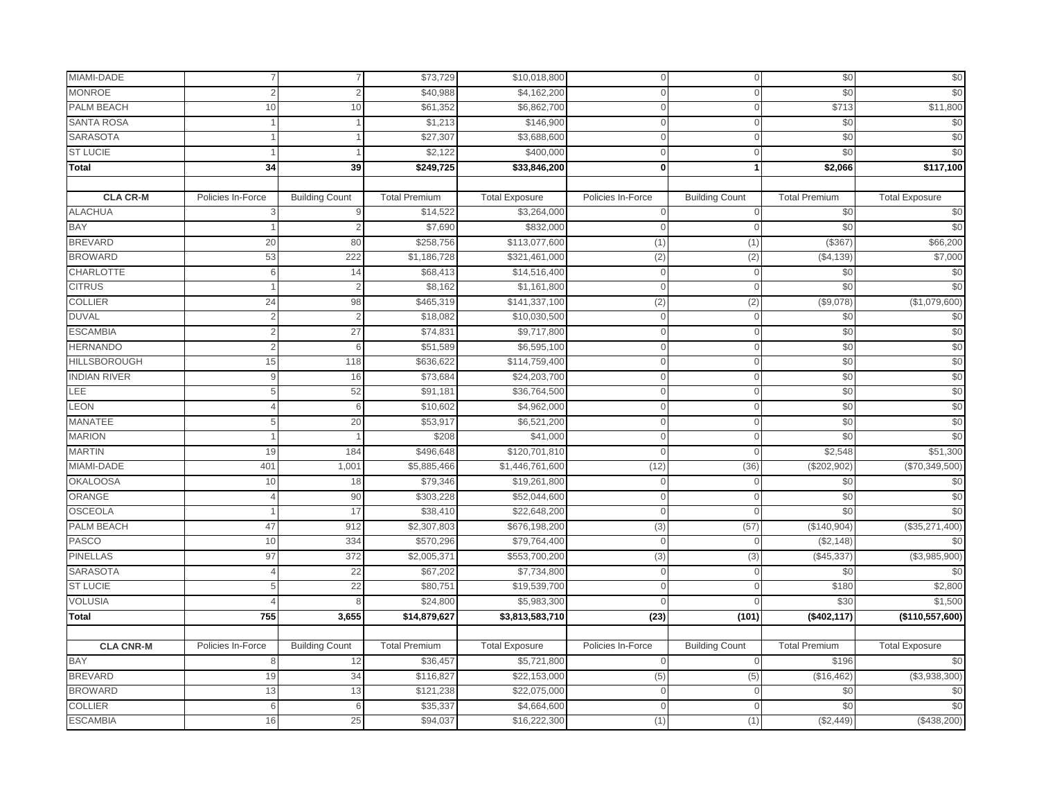| MIAMI-DADE          |                   | 7                     | \$73,729             | \$10,018,800             | $\bigcap$         | $\Omega$              | \$0                  | \$0                     |
|---------------------|-------------------|-----------------------|----------------------|--------------------------|-------------------|-----------------------|----------------------|-------------------------|
| <b>MONROE</b>       |                   | $\overline{2}$        | \$40,988             | \$4,162,200              |                   |                       | \$0                  | \$0                     |
| <b>PALM BEACH</b>   | 10                | 10                    | \$61,352             | \$6,862,700              | $\cap$            | $\Omega$              | \$713                | \$11,800                |
| <b>SANTA ROSA</b>   |                   |                       | \$1,213              | \$146,900                | $\Omega$          | $\Omega$              | \$0                  | \$0                     |
| SARASOTA            |                   |                       | \$27,307             | \$3,688,600              | $\overline{0}$    | $\mathbf{0}$          | \$0                  | \$0                     |
| <b>ST LUCIE</b>     |                   |                       | \$2,122              | \$400,000                | $\Omega$          | $\Omega$              | \$0                  | \$0                     |
| <b>Total</b>        | 34                | 39                    | \$249,725            | $\overline{$33,846,200}$ | $\mathbf 0$       |                       | \$2,066              | $\frac{1}{1}$ \$117,100 |
|                     |                   |                       |                      |                          |                   |                       |                      |                         |
| <b>CLA CR-M</b>     | Policies In-Force | <b>Building Count</b> | <b>Total Premium</b> | <b>Total Exposure</b>    | Policies In-Force | <b>Building Count</b> | <b>Total Premium</b> | <b>Total Exposure</b>   |
| <b>ALACHUA</b>      | 3                 | $9$                   | \$14,522             | \$3,264,000              | $\mathbf{0}$      | $\overline{0}$        | \$0                  | \$0                     |
| <b>BAY</b>          |                   | 2                     | \$7,690              | \$832,000                | $\Omega$          | $\Omega$              | \$0                  | \$0                     |
| <b>BREVARD</b>      | 20                | 80                    | \$258,756            | \$113,077,600            | (1)               | (1)                   | (\$367               | \$66,200                |
| <b>BROWARD</b>      | 53                | 222                   | \$1,186,728          | \$321,461,000            | (2)               | (2)                   | (\$4,139)            | \$7,000                 |
| <b>CHARLOTTE</b>    | 6                 | 14                    | \$68,413             | \$14,516,400             | $\overline{0}$    | $\mathbf{0}$          | \$0                  | \$0                     |
| <b>CITRUS</b>       |                   | $\overline{2}$        | \$8,162              | \$1,161,800              | $\Omega$          | $\mathbf{0}$          | \$0                  | \$0                     |
| <b>COLLIER</b>      | 24                | 98                    | \$465,319            | \$141,337,100            | (2)               | (2)                   | (\$9,078)            | (\$1,079,600)           |
| <b>DUVAL</b>        |                   | $\overline{2}$        | \$18,082             | \$10,030,500             | $\overline{0}$    | $\mathbf{0}$          | \$0                  | \$0                     |
| <b>ESCAMBIA</b>     |                   | 27                    | \$74,831             | \$9,717,800              | $\Omega$          | $\Omega$              | \$0                  | \$0                     |
| <b>HERNANDO</b>     |                   | 6                     | \$51,589             | \$6,595,100              | $\overline{0}$    | $\mathbf{0}$          | \$0                  | \$0                     |
| <b>HILLSBOROUGH</b> | 15                | 118                   | \$636,622            | \$114,759,400            | $\overline{0}$    | $\overline{0}$        | \$0                  | \$0                     |
| <b>INDIAN RIVER</b> | q                 | 16                    | \$73,684             | \$24,203,700             | $\Omega$          | $\Omega$              | \$0                  | \$0                     |
| LEE                 |                   | 52                    | \$91,181             | \$36,764,500             | $\Omega$          |                       | \$0                  | \$0                     |
| LEON                |                   | 6                     | \$10,602             | \$4,962,000              | $\overline{0}$    | $\mathbf{0}$          | \$0                  | \$0                     |
| <b>MANATEE</b>      |                   | 20                    | \$53,917             | \$6,521,200              | $\overline{0}$    | $\Omega$              | \$0                  | \$0                     |
| <b>MARION</b>       |                   |                       | \$208                | \$41,000                 | $\overline{0}$    | $\Omega$              | \$0                  | \$0                     |
| <b>MARTIN</b>       | 19                | 184                   | \$496,648            | \$120,701,810            | $\Omega$          | $\Omega$              | \$2,548              | \$51,300                |
| MIAMI-DADE          | 401               | 1,001                 | \$5,885,466          | \$1,446,761,600          | (12)              | (36)                  | ( \$202, 902)        | (\$70,349,500)          |
| <b>OKALOOSA</b>     | 10                | 18                    | \$79,346             | \$19,261,800             | $\Omega$          | $\mathbf{0}$          | \$0                  | \$0                     |
| ORANGE              |                   | 90                    | \$303,228            | \$52,044,600             | $\overline{0}$    | $\Omega$              | \$0                  | \$0                     |
| <b>OSCEOLA</b>      |                   | 17                    | \$38,410             | \$22,648,200             | $\overline{0}$    | $\mathbf{0}$          | \$0                  | \$0                     |
| PALM BEACH          | 47                | 912                   | \$2,307,803          | \$676,198,200            | (3)               | (57)                  | (\$140,904)          | (\$35,271,400)          |
| <b>PASCO</b>        | 10                | 334                   | \$570,296            | \$79,764,400             | $\Omega$          |                       | (\$2,148             | \$0                     |
| <b>PINELLAS</b>     | 97                | 372                   | \$2,005,37           | \$553,700,200            | (3)               | (3)                   | (\$45,337            | (\$3,985,900)           |
| <b>SARASOTA</b>     |                   | $\overline{22}$       | \$67,202             | \$7,734,800              | $\overline{0}$    | $\Omega$              | \$0                  | \$0                     |
| <b>ST LUCIE</b>     |                   | 22                    | \$80,751             | \$19,539,700             | $\Omega$          | $\Omega$              | \$180                | \$2,800                 |
| <b>VOLUSIA</b>      |                   | 8                     | \$24,800             | \$5,983,300              | $\cap$            |                       | \$30                 | \$1,500                 |
| <b>Total</b>        | 755               | 3,655                 | \$14,879,627         | \$3,813,583,710          | (23)              | (101)                 | (\$402,117)          | (\$110,557,600)         |
|                     |                   |                       |                      |                          |                   |                       |                      |                         |
| <b>CLA CNR-M</b>    | Policies In-Force | <b>Building Count</b> | <b>Total Premium</b> | <b>Total Exposure</b>    | Policies In-Force | <b>Building Count</b> | <b>Total Premium</b> | <b>Total Exposure</b>   |
| BAY                 | 8                 | 12                    | \$36,457             | \$5,721,800              | $\overline{0}$    | $\Omega$              | \$196                | \$0                     |
| <b>BREVARD</b>      | 19                | 34                    | \$116,827            | \$22,153,000             | (5)               | (5)                   | (\$16,462)           | (\$3,938,300)           |
| <b>BROWARD</b>      | 13                | 13                    | \$121,238            | \$22,075,000             | $\cap$            |                       | \$0                  | \$0                     |
| <b>COLLIER</b>      | 6                 | 6                     | \$35,337             | \$4,664,600              | $\Omega$          | $\mathbf{O}$          | \$0                  | \$0                     |
| <b>ESCAMBIA</b>     | 16                | 25                    | \$94,037             | \$16,222,300             | (1)               | (1)                   | (\$2,449)            | (\$438,200)             |